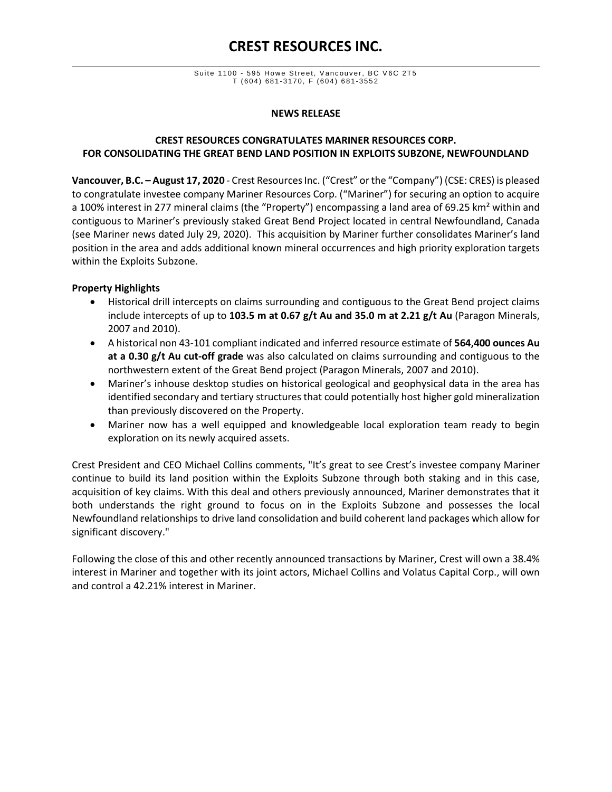# **CREST RESOURCES INC.**

#### **NEWS RELEASE**

# **CREST RESOURCES CONGRATULATES MARINER RESOURCES CORP. FOR CONSOLIDATING THE GREAT BEND LAND POSITION IN EXPLOITS SUBZONE, NEWFOUNDLAND**

**Vancouver, B.C. – August 17, 2020** - Crest Resources Inc. ("Crest" or the "Company") (CSE: CRES) is pleased to congratulate investee company Mariner Resources Corp. ("Mariner") for securing an option to acquire a 100% interest in 277 mineral claims (the "Property") encompassing a land area of 69.25 km² within and contiguous to Mariner's previously staked Great Bend Project located in central Newfoundland, Canada (see Mariner news dated July 29, 2020). This acquisition by Mariner further consolidates Mariner's land position in the area and adds additional known mineral occurrences and high priority exploration targets within the Exploits Subzone.

# **Property Highlights**

- Historical drill intercepts on claims surrounding and contiguous to the Great Bend project claims include intercepts of up to **103.5 m at 0.67 g/t Au and 35.0 m at 2.21 g/t Au** (Paragon Minerals, 2007 and 2010).
- A historical non 43-101 compliant indicated and inferred resource estimate of **564,400 ounces Au at a 0.30 g/t Au cut-off grade** was also calculated on claims surrounding and contiguous to the northwestern extent of the Great Bend project (Paragon Minerals, 2007 and 2010).
- Mariner's inhouse desktop studies on historical geological and geophysical data in the area has identified secondary and tertiary structures that could potentially host higher gold mineralization than previously discovered on the Property.
- Mariner now has a well equipped and knowledgeable local exploration team ready to begin exploration on its newly acquired assets.

Crest President and CEO Michael Collins comments, "It's great to see Crest's investee company Mariner continue to build its land position within the Exploits Subzone through both staking and in this case, acquisition of key claims. With this deal and others previously announced, Mariner demonstrates that it both understands the right ground to focus on in the Exploits Subzone and possesses the local Newfoundland relationships to drive land consolidation and build coherent land packages which allow for significant discovery."

Following the close of this and other recently announced transactions by Mariner, Crest will own a 38.4% interest in Mariner and together with its joint actors, Michael Collins and Volatus Capital Corp., will own and control a 42.21% interest in Mariner.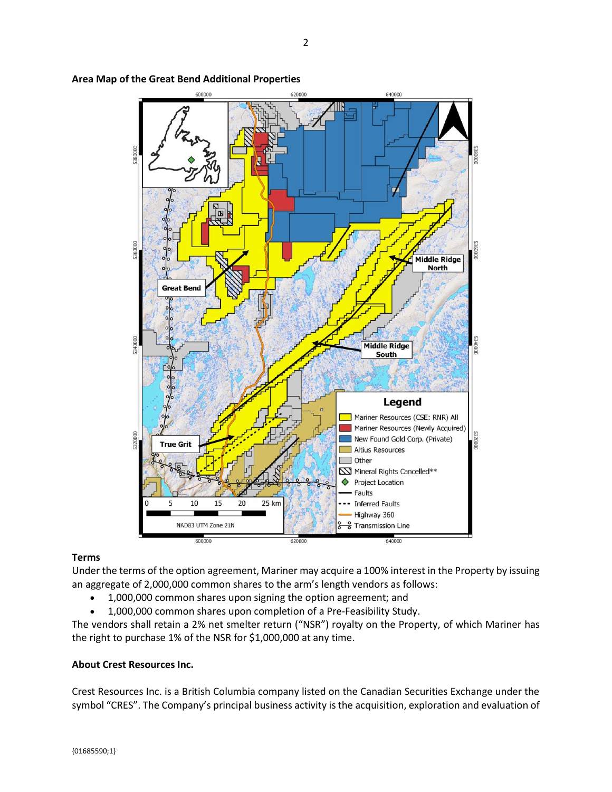

# **Area Map of the Great Bend Additional Properties**

# **Terms**

Under the terms of the option agreement, Mariner may acquire a 100% interest in the Property by issuing an aggregate of 2,000,000 common shares to the arm's length vendors as follows:

- 1,000,000 common shares upon signing the option agreement; and
- 1,000,000 common shares upon completion of a Pre-Feasibility Study.

The vendors shall retain a 2% net smelter return ("NSR") royalty on the Property, of which Mariner has the right to purchase 1% of the NSR for \$1,000,000 at any time.

# **About Crest Resources Inc.**

Crest Resources Inc. is a British Columbia company listed on the Canadian Securities Exchange under the symbol "CRES". The Company's principal business activity is the acquisition, exploration and evaluation of